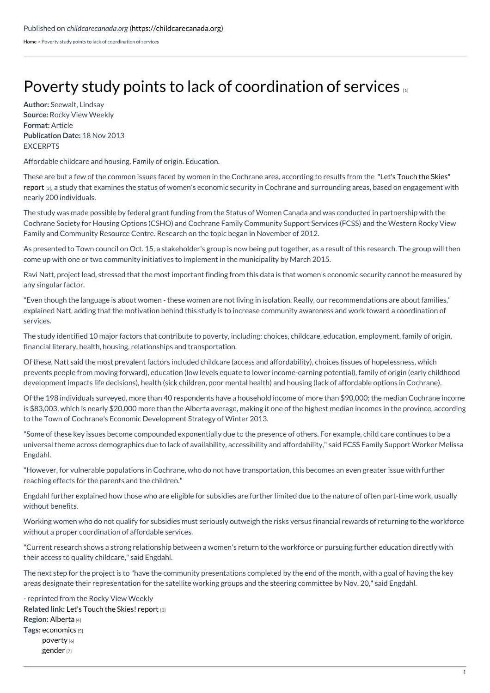[Home](https://childcarecanada.org/) > Poverty study points to lack of coordination of services

## Poverty study points to lack of [coordination](https://childcarecanada.org/documents/child-care-news/13/11/poverty-study-points-lack-coordination-services) of services

**Author:** Seewalt, Lindsay **Source:** Rocky View Weekly **Format:** Article **Publication Date:** 18 Nov 2013 **FXCERPTS** 

Affordable childcare and housing. Family of origin. Education.

These are but a few of the common issues faced by women in the Cochrane area, according to results from the "Let's Touch the Skies" report [2], a study that examines the status of women's economic security in Cochrane and surrounding areas, based on [engagement](https://childcarecanada.org/documents/research-policy-practice/13/11/let%25E2%2580%2599s-touch-skies) with nearly 200 individuals.

The study was made possible by federal grant funding from the Status of Women Canada and was conducted in partnership with the Cochrane Society for Housing Options (CSHO) and Cochrane Family Community Support Services (FCSS) and the Western Rocky View Family and Community Resource Centre. Research on the topic began in November of 2012.

As presented to Town council on Oct. 15, a stakeholder's group is now being put together, as a result of this research. The group will then come up with one or two community initiatives to implement in the municipality by March 2015.

Ravi Natt, project lead, stressed that the most important finding from this data is that women's economic security cannot be measured by any singular factor.

"Even though the language is about women - these women are not living in isolation. Really, our recommendations are about families," explained Natt, adding that the motivation behind this study is to increase community awareness and work toward a coordination of services.

The study identified 10 major factors that contribute to poverty, including: choices, childcare, education, employment, family of origin, financial literary, health, housing, relationships and transportation.

Of these, Natt said the most prevalent factors included childcare (access and affordability), choices (issues of hopelessness, which prevents people from moving forward), education (low levels equate to lower income-earning potential), family of origin (early childhood development impacts life decisions), health (sick children, poor mental health) and housing (lack of affordable options in Cochrane).

Of the 198 individuals surveyed, more than 40 respondents have a household income of more than \$90,000; the median Cochrane income is \$83,003, which is nearly \$20,000 more than the Alberta average, making it one of the highest median incomes in the province, according to the Town of Cochrane's Economic Development Strategy of Winter 2013.

"Some of these key issues become compounded exponentially due to the presence of others. For example, child care continues to be a universal theme across demographics due to lack of availability, accessibility and affordability," said FCSS Family Support Worker Melissa Engdahl.

"However, for vulnerable populations in Cochrane, who do not have transportation, this becomes an even greater issue with further reaching effects for the parents and the children."

Engdahl further explained how those who are eligible for subsidies are further limited due to the nature of often part-time work, usually without benefits.

Working women who do not qualify for subsidies must seriously outweigh the risks versus financial rewards of returning to the workforce without a proper coordination of affordable services.

"Current research shows a strong relationship between a women's return to the workforce or pursuing further education directly with their access to quality childcare," said Engdahl.

The next step for the project is to "have the community presentations completed by the end of the month, with a goal of having the key areas designate their representation for the satellite working groups and the steering committee by Nov. 20," said Engdahl.

**Related link:** Let's Touch the Skies! [report](https://childcarecanada.org/documents/research-policy-practice/13/11/let%E2%80%99s-touch-skies) [3] **Region:** [Alberta](https://childcarecanada.org/taxonomy/term/7859) [4] **Tags:** [economics](https://childcarecanada.org/category/tags/economics) [5] [poverty](https://childcarecanada.org/category/tags/poverty) [6] [gender](https://childcarecanada.org/category/tags/gender) [7] - reprinted from the Rocky View Weekly